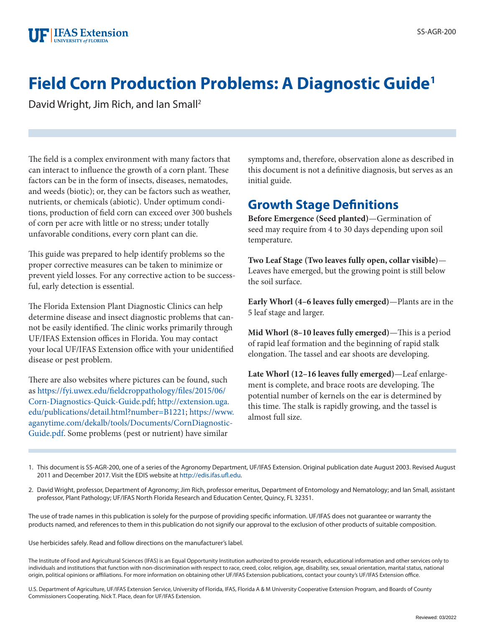

# **Field Corn Production Problems: A Diagnostic Guide1**

David Wright, Jim Rich, and Ian Small2

The field is a complex environment with many factors that can interact to influence the growth of a corn plant. These factors can be in the form of insects, diseases, nematodes, and weeds (biotic); or, they can be factors such as weather, nutrients, or chemicals (abiotic). Under optimum conditions, production of field corn can exceed over 300 bushels of corn per acre with little or no stress; under totally unfavorable conditions, every corn plant can die.

This guide was prepared to help identify problems so the proper corrective measures can be taken to minimize or prevent yield losses. For any corrective action to be successful, early detection is essential.

The Florida Extension Plant Diagnostic Clinics can help determine disease and insect diagnostic problems that cannot be easily identified. The clinic works primarily through UF/IFAS Extension offices in Florida. You may contact your local UF/IFAS Extension office with your unidentified disease or pest problem.

There are also websites where pictures can be found, such as [https://fyi.uwex.edu/fieldcroppathology/files/2015/06/](https://fyi.uwex.edu/fieldcroppathology/files/2015/06/Corn-Diagnostics-Quick-Guide.pdf) [Corn-Diagnostics-Quick-Guide.pdf;](https://fyi.uwex.edu/fieldcroppathology/files/2015/06/Corn-Diagnostics-Quick-Guide.pdf) [http://extension.uga.](http://extension.uga.edu/publications/detail.html?number=B1221) [edu/publications/detail.html?number=B1221](http://extension.uga.edu/publications/detail.html?number=B1221); [https://www.](https://www.aganytime.com/dekalb/tools/Documents/CornDiagnosticGuide.pdf) [aganytime.com/dekalb/tools/Documents/CornDiagnostic-](https://www.aganytime.com/dekalb/tools/Documents/CornDiagnosticGuide.pdf)[Guide.pdf](https://www.aganytime.com/dekalb/tools/Documents/CornDiagnosticGuide.pdf). Some problems (pest or nutrient) have similar

symptoms and, therefore, observation alone as described in this document is not a definitive diagnosis, but serves as an initial guide.

# **Growth Stage Definitions**

**Before Emergence (Seed planted)**—Germination of seed may require from 4 to 30 days depending upon soil temperature.

**Two Leaf Stage (Two leaves fully open, collar visible)**— Leaves have emerged, but the growing point is still below the soil surface.

**Early Whorl (4–6 leaves fully emerged)**—Plants are in the 5 leaf stage and larger.

**Mid Whorl (8–10 leaves fully emerged)**—This is a period of rapid leaf formation and the beginning of rapid stalk elongation. The tassel and ear shoots are developing.

**Late Whorl (12–16 leaves fully emerged)**—Leaf enlargement is complete, and brace roots are developing. The potential number of kernels on the ear is determined by this time. The stalk is rapidly growing, and the tassel is almost full size.

1. This document is SS-AGR-200, one of a series of the Agronomy Department, UF/IFAS Extension. Original publication date August 2003. Revised August 2011 and December 2017. Visit the EDIS website at [http://edis.ifas.ufl.edu.](http://edis.ifas.ufl.edu)

2. David Wright, professor, Department of Agronomy; Jim Rich, professor emeritus, Department of Entomology and Nematology; and Ian Small, assistant professor, Plant Pathology; UF/IFAS North Florida Research and Education Center, Quincy, FL 32351.

The use of trade names in this publication is solely for the purpose of providing specific information. UF/IFAS does not guarantee or warranty the products named, and references to them in this publication do not signify our approval to the exclusion of other products of suitable composition.

Use herbicides safely. Read and follow directions on the manufacturer's label.

The Institute of Food and Agricultural Sciences (IFAS) is an Equal Opportunity Institution authorized to provide research, educational information and other services only to individuals and institutions that function with non-discrimination with respect to race, creed, color, religion, age, disability, sex, sexual orientation, marital status, national origin, political opinions or affiliations. For more information on obtaining other UF/IFAS Extension publications, contact your county's UF/IFAS Extension office.

U.S. Department of Agriculture, UF/IFAS Extension Service, University of Florida, IFAS, Florida A & M University Cooperative Extension Program, and Boards of County Commissioners Cooperating. Nick T. Place, dean for UF/IFAS Extension.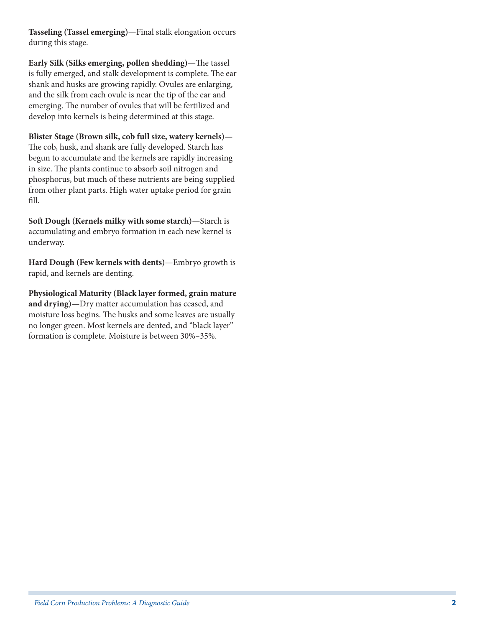**Tasseling (Tassel emerging)**—Final stalk elongation occurs during this stage.

**Early Silk (Silks emerging, pollen shedding)**—The tassel is fully emerged, and stalk development is complete. The ear shank and husks are growing rapidly. Ovules are enlarging, and the silk from each ovule is near the tip of the ear and emerging. The number of ovules that will be fertilized and develop into kernels is being determined at this stage.

**Blister Stage (Brown silk, cob full size, watery kernels)**— The cob, husk, and shank are fully developed. Starch has begun to accumulate and the kernels are rapidly increasing in size. The plants continue to absorb soil nitrogen and phosphorus, but much of these nutrients are being supplied from other plant parts. High water uptake period for grain fill.

**Soft Dough (Kernels milky with some starch)**—Starch is accumulating and embryo formation in each new kernel is underway.

**Hard Dough (Few kernels with dents)**—Embryo growth is rapid, and kernels are denting.

**Physiological Maturity (Black layer formed, grain mature and drying)**—Dry matter accumulation has ceased, and moisture loss begins. The husks and some leaves are usually no longer green. Most kernels are dented, and "black layer" formation is complete. Moisture is between 30%–35%.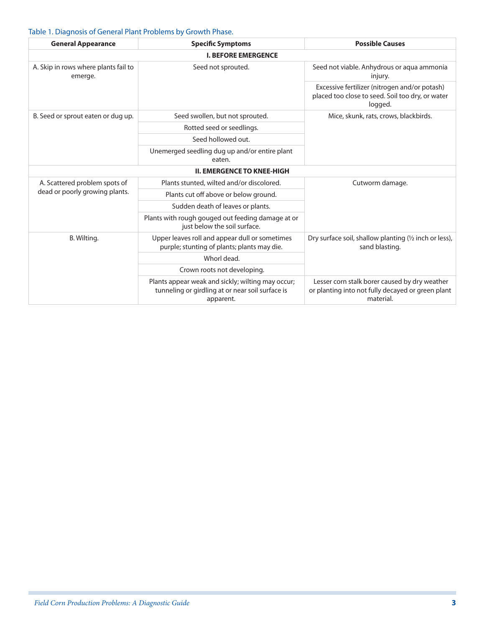## Table 1. Diagnosis of General Plant Problems by Growth Phase.

| <b>General Appearance</b>                       | <b>Specific Symptoms</b>                                                                                           | <b>Possible Causes</b>                                                                                          |
|-------------------------------------------------|--------------------------------------------------------------------------------------------------------------------|-----------------------------------------------------------------------------------------------------------------|
|                                                 | <b>I. BEFORE EMERGENCE</b>                                                                                         |                                                                                                                 |
| A. Skip in rows where plants fail to<br>emerge. | Seed not sprouted.                                                                                                 | Seed not viable. Anhydrous or aqua ammonia<br>injury.                                                           |
|                                                 |                                                                                                                    | Excessive fertilizer (nitrogen and/or potash)<br>placed too close to seed. Soil too dry, or water<br>logged.    |
| B. Seed or sprout eaten or dug up.              | Seed swollen, but not sprouted.                                                                                    | Mice, skunk, rats, crows, blackbirds.                                                                           |
|                                                 | Rotted seed or seedlings.                                                                                          |                                                                                                                 |
|                                                 | Seed hollowed out.                                                                                                 |                                                                                                                 |
|                                                 | Unemerged seedling dug up and/or entire plant<br>eaten.                                                            |                                                                                                                 |
|                                                 | <b>II. EMERGENCE TO KNEE-HIGH</b>                                                                                  |                                                                                                                 |
| A. Scattered problem spots of                   | Plants stunted, wilted and/or discolored.                                                                          | Cutworm damage.                                                                                                 |
| dead or poorly growing plants.                  | Plants cut off above or below ground.                                                                              |                                                                                                                 |
|                                                 | Sudden death of leaves or plants.                                                                                  |                                                                                                                 |
|                                                 | Plants with rough gouged out feeding damage at or<br>just below the soil surface.                                  |                                                                                                                 |
| B. Wilting.                                     | Upper leaves roll and appear dull or sometimes<br>purple; stunting of plants; plants may die.                      | Dry surface soil, shallow planting (1/2 inch or less),<br>sand blasting.                                        |
|                                                 | Whorl dead.                                                                                                        |                                                                                                                 |
|                                                 | Crown roots not developing.                                                                                        |                                                                                                                 |
|                                                 | Plants appear weak and sickly; wilting may occur;<br>tunneling or girdling at or near soil surface is<br>apparent. | Lesser corn stalk borer caused by dry weather<br>or planting into not fully decayed or green plant<br>material. |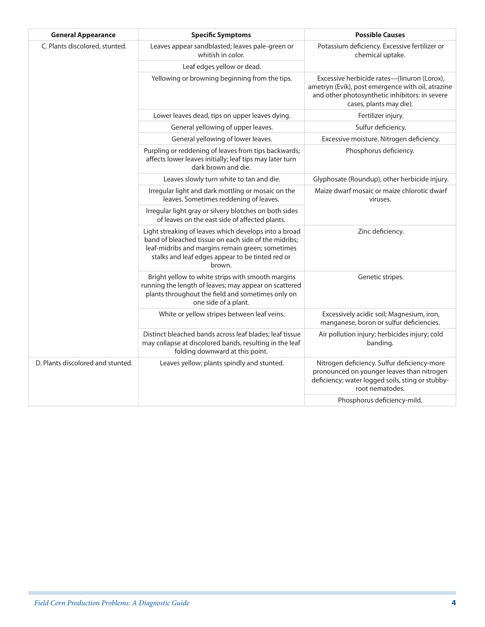| <b>General Appearance</b>         | <b>Specific Symptoms</b>                                                                                                                                                                                                        | <b>Possible Causes</b>                                                                                                                                                        |
|-----------------------------------|---------------------------------------------------------------------------------------------------------------------------------------------------------------------------------------------------------------------------------|-------------------------------------------------------------------------------------------------------------------------------------------------------------------------------|
| C. Plants discolored, stunted.    | Leaves appear sandblasted; leaves pale-green or<br>whitish in color.                                                                                                                                                            | Potassium deficiency. Excessive fertilizer or<br>chemical uptake.                                                                                                             |
|                                   | Leaf edges yellow or dead.                                                                                                                                                                                                      |                                                                                                                                                                               |
|                                   | Yellowing or browning beginning from the tips.                                                                                                                                                                                  | Excessive herbicide rates-(linuron (Lorox),<br>ametryn (Evik), post emergence with oil, atrazine<br>and other photosynthetic inhibitors: in severe<br>cases, plants may die). |
|                                   | Lower leaves dead, tips on upper leaves dying.                                                                                                                                                                                  | Fertilizer injury.                                                                                                                                                            |
|                                   | General yellowing of upper leaves.                                                                                                                                                                                              | Sulfur deficiency.                                                                                                                                                            |
|                                   | General yellowing of lower leaves.                                                                                                                                                                                              | Excessive moisture. Nitrogen deficiency.                                                                                                                                      |
|                                   | Purpling or reddening of leaves from tips backwards;<br>affects lower leaves initially; leaf tips may later turn<br>dark brown and die.                                                                                         | Phosphorus deficiency.                                                                                                                                                        |
|                                   | Leaves slowly turn white to tan and die.                                                                                                                                                                                        | Glyphosate (Roundup), other herbicide injury.                                                                                                                                 |
|                                   | Irregular light and dark mottling or mosaic on the<br>leaves. Sometimes reddening of leaves.                                                                                                                                    | Maize dwarf mosaic or maize chlorotic dwarf<br>viruses.                                                                                                                       |
|                                   | Irregular light gray or silvery blotches on both sides<br>of leaves on the east side of affected plants.                                                                                                                        |                                                                                                                                                                               |
|                                   | Light streaking of leaves which develops into a broad<br>band of bleached tissue on each side of the midribs;<br>leaf-midribs and margins remain green; sometimes<br>stalks and leaf edges appear to be tinted red or<br>brown. | Zinc deficiency.                                                                                                                                                              |
|                                   | Bright yellow to white strips with smooth margins<br>running the length of leaves; may appear on scattered<br>plants throughout the field and sometimes only on<br>one side of a plant.                                         | Genetic stripes.                                                                                                                                                              |
|                                   | White or yellow stripes between leaf veins.                                                                                                                                                                                     | Excessively acidic soil; Magnesium, iron,<br>manganese, boron or sulfur deficiencies.                                                                                         |
|                                   | Distinct bleached bands across leaf blades; leaf tissue<br>may collapse at discolored bands, resulting in the leaf<br>folding downward at this point.                                                                           | Air pollution injury; herbicides injury; cold<br>banding.                                                                                                                     |
| D. Plants discolored and stunted. | Leaves yellow; plants spindly and stunted.                                                                                                                                                                                      | Nitrogen deficiency. Sulfur deficiency-more<br>pronounced on younger leaves than nitrogen<br>deficiency; water logged soils, sting or stubby-<br>root nematodes.              |
|                                   |                                                                                                                                                                                                                                 | Phosphorus deficiency-mild.                                                                                                                                                   |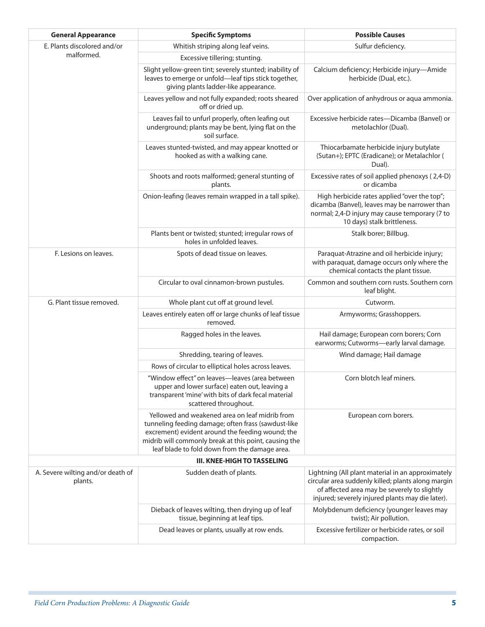| <b>General Appearance</b>                    | <b>Specific Symptoms</b>                                                                                                                                                                                                                                            | <b>Possible Causes</b>                                                                                                                                                                                      |
|----------------------------------------------|---------------------------------------------------------------------------------------------------------------------------------------------------------------------------------------------------------------------------------------------------------------------|-------------------------------------------------------------------------------------------------------------------------------------------------------------------------------------------------------------|
| E. Plants discolored and/or<br>malformed.    | Whitish striping along leaf veins.                                                                                                                                                                                                                                  | Sulfur deficiency.                                                                                                                                                                                          |
|                                              | Excessive tillering; stunting.                                                                                                                                                                                                                                      |                                                                                                                                                                                                             |
|                                              | Slight yellow-green tint; severely stunted; inability of<br>leaves to emerge or unfold-leaf tips stick together,<br>giving plants ladder-like appearance.                                                                                                           | Calcium deficiency; Herbicide injury-Amide<br>herbicide (Dual, etc.).                                                                                                                                       |
|                                              | Leaves yellow and not fully expanded; roots sheared<br>off or dried up.                                                                                                                                                                                             | Over application of anhydrous or aqua ammonia.                                                                                                                                                              |
|                                              | Leaves fail to unfurl properly, often leafing out<br>underground; plants may be bent, lying flat on the<br>soil surface.                                                                                                                                            | Excessive herbicide rates-Dicamba (Banvel) or<br>metolachlor (Dual).                                                                                                                                        |
|                                              | Leaves stunted-twisted, and may appear knotted or<br>hooked as with a walking cane.                                                                                                                                                                                 | Thiocarbamate herbicide injury butylate<br>(Sutan+); EPTC (Eradicane); or Metalachlor (<br>Dual).                                                                                                           |
|                                              | Shoots and roots malformed; general stunting of<br>plants.                                                                                                                                                                                                          | Excessive rates of soil applied phenoxys (2,4-D)<br>or dicamba                                                                                                                                              |
|                                              | Onion-leafing (leaves remain wrapped in a tall spike).                                                                                                                                                                                                              | High herbicide rates applied "over the top";<br>dicamba (Banvel), leaves may be narrower than<br>normal; 2,4-D injury may cause temporary (7 to<br>10 days) stalk brittleness.                              |
|                                              | Plants bent or twisted; stunted; irregular rows of<br>holes in unfolded leaves.                                                                                                                                                                                     | Stalk borer; Billbug.                                                                                                                                                                                       |
| F. Lesions on leaves.                        | Spots of dead tissue on leaves.                                                                                                                                                                                                                                     | Paraquat-Atrazine and oil herbicide injury;<br>with paraquat, damage occurs only where the<br>chemical contacts the plant tissue.                                                                           |
|                                              | Circular to oval cinnamon-brown pustules.                                                                                                                                                                                                                           | Common and southern corn rusts. Southern corn<br>leaf blight.                                                                                                                                               |
| G. Plant tissue removed.                     | Whole plant cut off at ground level.                                                                                                                                                                                                                                | Cutworm.                                                                                                                                                                                                    |
|                                              | Leaves entirely eaten off or large chunks of leaf tissue<br>removed.                                                                                                                                                                                                | Armyworms; Grasshoppers.                                                                                                                                                                                    |
|                                              | Ragged holes in the leaves.                                                                                                                                                                                                                                         | Hail damage; European corn borers; Corn<br>earworms; Cutworms-early larval damage.                                                                                                                          |
|                                              | Shredding, tearing of leaves.                                                                                                                                                                                                                                       | Wind damage; Hail damage                                                                                                                                                                                    |
|                                              | Rows of circular to elliptical holes across leaves.                                                                                                                                                                                                                 |                                                                                                                                                                                                             |
|                                              | "Window effect" on leaves-leaves (area between<br>upper and lower surface) eaten out, leaving a<br>transparent 'mine' with bits of dark fecal material<br>scattered throughout.                                                                                     | Corn blotch leaf miners.                                                                                                                                                                                    |
|                                              | Yellowed and weakened area on leaf midrib from<br>tunneling feeding damage; often frass (sawdust-like<br>excrement) evident around the feeding wound; the<br>midrib will commonly break at this point, causing the<br>leaf blade to fold down from the damage area. | European corn borers.                                                                                                                                                                                       |
| <b>III. KNEE-HIGH TO TASSELING</b>           |                                                                                                                                                                                                                                                                     |                                                                                                                                                                                                             |
| A. Severe wilting and/or death of<br>plants. | Sudden death of plants.                                                                                                                                                                                                                                             | Lightning (All plant material in an approximately<br>circular area suddenly killed; plants along margin<br>of affected area may be severely to slightly<br>injured; severely injured plants may die later). |
|                                              | Dieback of leaves wilting, then drying up of leaf<br>tissue, beginning at leaf tips.                                                                                                                                                                                | Molybdenum deficiency (younger leaves may<br>twist); Air pollution.                                                                                                                                         |
|                                              | Dead leaves or plants, usually at row ends.                                                                                                                                                                                                                         | Excessive fertilizer or herbicide rates, or soil<br>compaction.                                                                                                                                             |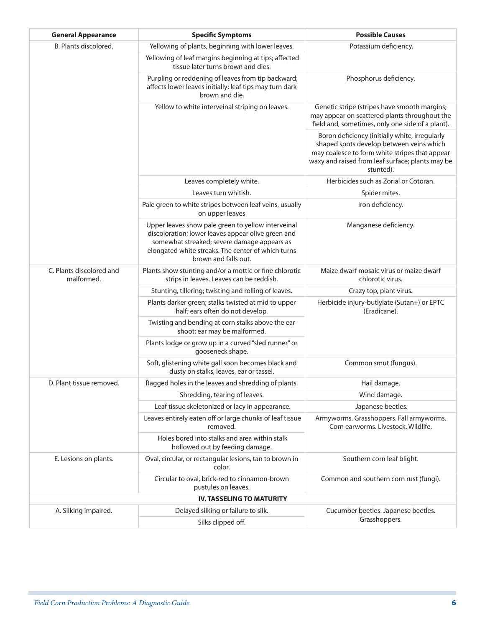| <b>General Appearance</b>              | <b>Specific Symptoms</b>                                                                                                                                                                                                              | <b>Possible Causes</b>                                                                                                                                                                                        |  |
|----------------------------------------|---------------------------------------------------------------------------------------------------------------------------------------------------------------------------------------------------------------------------------------|---------------------------------------------------------------------------------------------------------------------------------------------------------------------------------------------------------------|--|
| B. Plants discolored.                  | Yellowing of plants, beginning with lower leaves.                                                                                                                                                                                     | Potassium deficiency.                                                                                                                                                                                         |  |
|                                        | Yellowing of leaf margins beginning at tips; affected<br>tissue later turns brown and dies.                                                                                                                                           |                                                                                                                                                                                                               |  |
|                                        | Purpling or reddening of leaves from tip backward;<br>affects lower leaves initially; leaf tips may turn dark<br>brown and die.                                                                                                       | Phosphorus deficiency.                                                                                                                                                                                        |  |
|                                        | Yellow to white interveinal striping on leaves.                                                                                                                                                                                       | Genetic stripe (stripes have smooth margins;<br>may appear on scattered plants throughout the<br>field and, sometimes, only one side of a plant).                                                             |  |
|                                        |                                                                                                                                                                                                                                       | Boron deficiency (initially white, irregularly<br>shaped spots develop between veins which<br>may coalesce to form white stripes that appear<br>waxy and raised from leaf surface; plants may be<br>stunted). |  |
|                                        | Leaves completely white.                                                                                                                                                                                                              | Herbicides such as Zorial or Cotoran.                                                                                                                                                                         |  |
|                                        | Leaves turn whitish.                                                                                                                                                                                                                  | Spider mites.                                                                                                                                                                                                 |  |
|                                        | Pale green to white stripes between leaf veins, usually<br>on upper leaves                                                                                                                                                            | Iron deficiency.                                                                                                                                                                                              |  |
|                                        | Upper leaves show pale green to yellow interveinal<br>discoloration; lower leaves appear olive green and<br>somewhat streaked; severe damage appears as<br>elongated white streaks. The center of which turns<br>brown and falls out. | Manganese deficiency.                                                                                                                                                                                         |  |
| C. Plants discolored and<br>malformed. | Plants show stunting and/or a mottle or fine chlorotic<br>strips in leaves. Leaves can be reddish.                                                                                                                                    | Maize dwarf mosaic virus or maize dwarf<br>chlorotic virus.                                                                                                                                                   |  |
|                                        | Stunting, tillering; twisting and rolling of leaves.                                                                                                                                                                                  | Crazy top, plant virus.                                                                                                                                                                                       |  |
|                                        | Plants darker green; stalks twisted at mid to upper<br>half; ears often do not develop.                                                                                                                                               | Herbicide injury-butlylate (Sutan+) or EPTC<br>(Eradicane).                                                                                                                                                   |  |
|                                        | Twisting and bending at corn stalks above the ear<br>shoot; ear may be malformed.                                                                                                                                                     |                                                                                                                                                                                                               |  |
|                                        | Plants lodge or grow up in a curved "sled runner" or<br>gooseneck shape.                                                                                                                                                              |                                                                                                                                                                                                               |  |
|                                        | Soft, glistening white gall soon becomes black and<br>dusty on stalks, leaves, ear or tassel.                                                                                                                                         | Common smut (fungus).                                                                                                                                                                                         |  |
| D. Plant tissue removed.               | Ragged holes in the leaves and shredding of plants.                                                                                                                                                                                   | Hail damage.                                                                                                                                                                                                  |  |
|                                        | Shredding, tearing of leaves.                                                                                                                                                                                                         | Wind damage.                                                                                                                                                                                                  |  |
|                                        | Leaf tissue skeletonized or lacy in appearance.                                                                                                                                                                                       | Japanese beetles.                                                                                                                                                                                             |  |
|                                        | Leaves entirely eaten off or large chunks of leaf tissue<br>removed.                                                                                                                                                                  | Armyworms. Grasshoppers. Fall armyworms.<br>Corn earworms. Livestock. Wildlife.                                                                                                                               |  |
|                                        | Holes bored into stalks and area within stalk<br>hollowed out by feeding damage.                                                                                                                                                      |                                                                                                                                                                                                               |  |
| E. Lesions on plants.                  | Oval, circular, or rectangular lesions, tan to brown in<br>color.                                                                                                                                                                     | Southern corn leaf blight.                                                                                                                                                                                    |  |
|                                        | Circular to oval, brick-red to cinnamon-brown<br>pustules on leaves.                                                                                                                                                                  | Common and southern corn rust (fungi).                                                                                                                                                                        |  |
|                                        | <b>IV. TASSELING TO MATURITY</b>                                                                                                                                                                                                      |                                                                                                                                                                                                               |  |
| A. Silking impaired.                   | Delayed silking or failure to silk.                                                                                                                                                                                                   | Cucumber beetles. Japanese beetles.                                                                                                                                                                           |  |
|                                        | Silks clipped off.                                                                                                                                                                                                                    | Grasshoppers.                                                                                                                                                                                                 |  |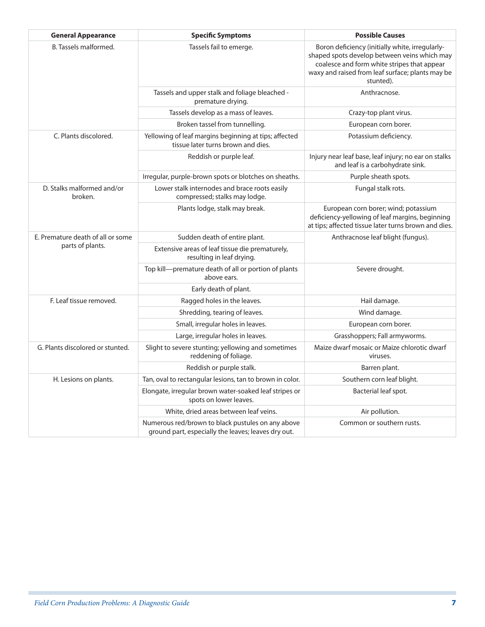| <b>General Appearance</b>             | <b>Specific Symptoms</b>                                                                                 | <b>Possible Causes</b>                                                                                                                                                                                          |
|---------------------------------------|----------------------------------------------------------------------------------------------------------|-----------------------------------------------------------------------------------------------------------------------------------------------------------------------------------------------------------------|
| B. Tassels malformed.                 | Tassels fail to emerge.                                                                                  | Boron deficiency (initially white, irregularly-<br>shaped spots develop between veins which may<br>coalesce and form white stripes that appear<br>waxy and raised from leaf surface; plants may be<br>stunted). |
|                                       | Tassels and upper stalk and foliage bleached -<br>premature drying.                                      | Anthracnose.                                                                                                                                                                                                    |
|                                       | Tassels develop as a mass of leaves.                                                                     | Crazy-top plant virus.                                                                                                                                                                                          |
|                                       | Broken tassel from tunnelling.                                                                           | European corn borer.                                                                                                                                                                                            |
| C. Plants discolored.                 | Yellowing of leaf margins beginning at tips; affected<br>tissue later turns brown and dies.              | Potassium deficiency.                                                                                                                                                                                           |
|                                       | Reddish or purple leaf.                                                                                  | Injury near leaf base, leaf injury; no ear on stalks<br>and leaf is a carbohydrate sink.                                                                                                                        |
|                                       | Irregular, purple-brown spots or blotches on sheaths.                                                    | Purple sheath spots.                                                                                                                                                                                            |
| D. Stalks malformed and/or<br>broken. | Lower stalk internodes and brace roots easily<br>compressed; stalks may lodge.                           | Fungal stalk rots.                                                                                                                                                                                              |
|                                       | Plants lodge, stalk may break.                                                                           | European corn borer; wind; potassium<br>deficiency-yellowing of leaf margins, beginning<br>at tips; affected tissue later turns brown and dies.                                                                 |
| E. Premature death of all or some     | Sudden death of entire plant.                                                                            | Anthracnose leaf blight (fungus).                                                                                                                                                                               |
| parts of plants.                      | Extensive areas of leaf tissue die prematurely,<br>resulting in leaf drying.                             |                                                                                                                                                                                                                 |
|                                       | Top kill-premature death of all or portion of plants<br>above ears.                                      | Severe drought.                                                                                                                                                                                                 |
|                                       | Early death of plant.                                                                                    |                                                                                                                                                                                                                 |
| F. Leaf tissue removed.               | Ragged holes in the leaves.                                                                              | Hail damage.                                                                                                                                                                                                    |
|                                       | Shredding, tearing of leaves.                                                                            | Wind damage.                                                                                                                                                                                                    |
|                                       | Small, irregular holes in leaves.                                                                        | European corn borer.                                                                                                                                                                                            |
|                                       | Large, irregular holes in leaves.                                                                        | Grasshoppers; Fall armyworms.                                                                                                                                                                                   |
| G. Plants discolored or stunted.      | Slight to severe stunting; yellowing and sometimes<br>reddening of foliage.                              | Maize dwarf mosaic or Maize chlorotic dwarf<br>viruses.                                                                                                                                                         |
|                                       | Reddish or purple stalk.                                                                                 | Barren plant.                                                                                                                                                                                                   |
| H. Lesions on plants.                 | Tan, oval to rectangular lesions, tan to brown in color.                                                 | Southern corn leaf blight.                                                                                                                                                                                      |
|                                       | Elongate, irregular brown water-soaked leaf stripes or<br>spots on lower leaves.                         | Bacterial leaf spot.                                                                                                                                                                                            |
|                                       | White, dried areas between leaf veins.                                                                   | Air pollution.                                                                                                                                                                                                  |
|                                       | Numerous red/brown to black pustules on any above<br>ground part, especially the leaves; leaves dry out. | Common or southern rusts.                                                                                                                                                                                       |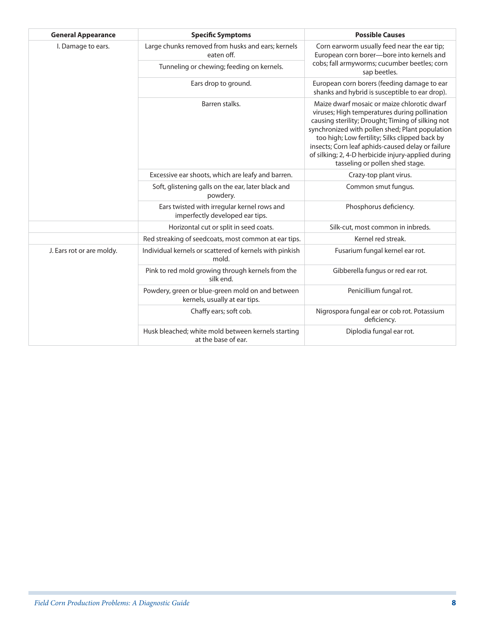| <b>General Appearance</b> | <b>Specific Symptoms</b>                                                          | <b>Possible Causes</b>                                                                                                                                                                                                                                                                                                                                                                               |
|---------------------------|-----------------------------------------------------------------------------------|------------------------------------------------------------------------------------------------------------------------------------------------------------------------------------------------------------------------------------------------------------------------------------------------------------------------------------------------------------------------------------------------------|
| I. Damage to ears.        | Large chunks removed from husks and ears; kernels<br>eaten off.                   | Corn earworm usually feed near the ear tip;<br>European corn borer-bore into kernels and<br>cobs; fall armyworms; cucumber beetles; corn<br>sap beetles.                                                                                                                                                                                                                                             |
|                           | Tunneling or chewing; feeding on kernels.                                         |                                                                                                                                                                                                                                                                                                                                                                                                      |
|                           | Ears drop to ground.                                                              | European corn borers (feeding damage to ear<br>shanks and hybrid is susceptible to ear drop).                                                                                                                                                                                                                                                                                                        |
|                           | Barren stalks.                                                                    | Maize dwarf mosaic or maize chlorotic dwarf<br>viruses; High temperatures during pollination<br>causing sterility; Drought; Timing of silking not<br>synchronized with pollen shed; Plant population<br>too high; Low fertility; Silks clipped back by<br>insects; Corn leaf aphids-caused delay or failure<br>of silking; 2, 4-D herbicide injury-applied during<br>tasseling or pollen shed stage. |
|                           | Excessive ear shoots, which are leafy and barren.                                 | Crazy-top plant virus.                                                                                                                                                                                                                                                                                                                                                                               |
|                           | Soft, glistening galls on the ear, later black and<br>powdery.                    | Common smut fungus.                                                                                                                                                                                                                                                                                                                                                                                  |
|                           | Ears twisted with irregular kernel rows and<br>imperfectly developed ear tips.    | Phosphorus deficiency.                                                                                                                                                                                                                                                                                                                                                                               |
|                           | Horizontal cut or split in seed coats.                                            | Silk-cut, most common in inbreds.                                                                                                                                                                                                                                                                                                                                                                    |
|                           | Red streaking of seedcoats, most common at ear tips.                              | Kernel red streak.                                                                                                                                                                                                                                                                                                                                                                                   |
| J. Ears rot or are moldy. | Individual kernels or scattered of kernels with pinkish<br>mold.                  | Fusarium fungal kernel ear rot.                                                                                                                                                                                                                                                                                                                                                                      |
|                           | Pink to red mold growing through kernels from the<br>silk end.                    | Gibberella fungus or red ear rot.                                                                                                                                                                                                                                                                                                                                                                    |
|                           | Powdery, green or blue-green mold on and between<br>kernels, usually at ear tips. | Penicillium fungal rot.                                                                                                                                                                                                                                                                                                                                                                              |
|                           | Chaffy ears; soft cob.                                                            | Nigrospora fungal ear or cob rot. Potassium<br>deficiency.                                                                                                                                                                                                                                                                                                                                           |
|                           | Husk bleached; white mold between kernels starting<br>at the base of ear.         | Diplodia fungal ear rot.                                                                                                                                                                                                                                                                                                                                                                             |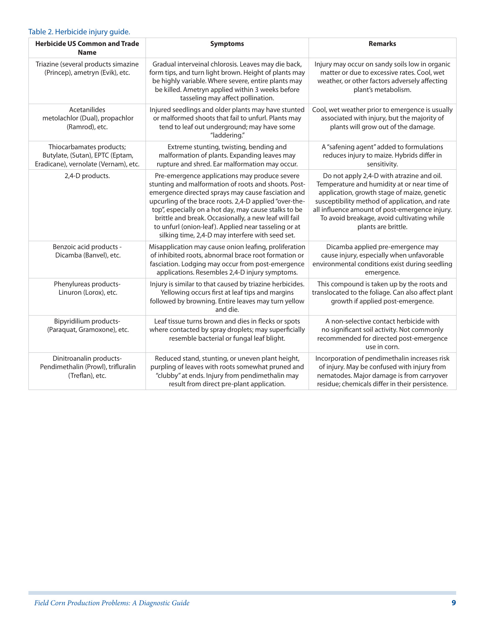#### Table 2. Herbicide injury guide.

| <b>Herbicide US Common and Trade</b><br><b>Name</b>                                                 | <b>Symptoms</b>                                                                                                                                                                                                                                                                                                                                                                                                                                     | <b>Remarks</b>                                                                                                                                                                                                                                                                                                   |
|-----------------------------------------------------------------------------------------------------|-----------------------------------------------------------------------------------------------------------------------------------------------------------------------------------------------------------------------------------------------------------------------------------------------------------------------------------------------------------------------------------------------------------------------------------------------------|------------------------------------------------------------------------------------------------------------------------------------------------------------------------------------------------------------------------------------------------------------------------------------------------------------------|
| Triazine (several products simazine<br>(Princep), ametryn (Evik), etc.                              | Gradual interveinal chlorosis. Leaves may die back,<br>form tips, and turn light brown. Height of plants may<br>be highly variable. Where severe, entire plants may<br>be killed. Ametryn applied within 3 weeks before<br>tasseling may affect pollination.                                                                                                                                                                                        | Injury may occur on sandy soils low in organic<br>matter or due to excessive rates. Cool, wet<br>weather, or other factors adversely affecting<br>plant's metabolism.                                                                                                                                            |
| Acetanilides<br>metolachlor (Dual), propachlor<br>(Ramrod), etc.                                    | Injured seedlings and older plants may have stunted<br>or malformed shoots that fail to unfurl. Plants may<br>tend to leaf out underground; may have some<br>"laddering."                                                                                                                                                                                                                                                                           | Cool, wet weather prior to emergence is usually<br>associated with injury, but the majority of<br>plants will grow out of the damage.                                                                                                                                                                            |
| Thiocarbamates products;<br>Butylate, (Sutan), EPTC (Eptam,<br>Eradicane), vernolate (Vernam), etc. | Extreme stunting, twisting, bending and<br>malformation of plants. Expanding leaves may<br>rupture and shred. Ear malformation may occur.                                                                                                                                                                                                                                                                                                           | A "safening agent" added to formulations<br>reduces injury to maize. Hybrids differ in<br>sensitivity.                                                                                                                                                                                                           |
| 2,4-D products.                                                                                     | Pre-emergence applications may produce severe<br>stunting and malformation of roots and shoots. Post-<br>emergence directed sprays may cause fasciation and<br>upcurling of the brace roots. 2,4-D applied "over-the-<br>top", especially on a hot day, may cause stalks to be<br>brittle and break. Occasionally, a new leaf will fail<br>to unfurl (onion-leaf). Applied near tasseling or at<br>silking time, 2,4-D may interfere with seed set. | Do not apply 2,4-D with atrazine and oil.<br>Temperature and humidity at or near time of<br>application, growth stage of maize, genetic<br>susceptibility method of application, and rate<br>all influence amount of post-emergence injury.<br>To avoid breakage, avoid cultivating while<br>plants are brittle. |
| Benzoic acid products -<br>Dicamba (Banvel), etc.                                                   | Misapplication may cause onion leafing, proliferation<br>of inhibited roots, abnormal brace root formation or<br>fasciation. Lodging may occur from post-emergence<br>applications. Resembles 2,4-D injury symptoms.                                                                                                                                                                                                                                | Dicamba applied pre-emergence may<br>cause injury, especially when unfavorable<br>environmental conditions exist during seedling<br>emergence.                                                                                                                                                                   |
| Phenylureas products-<br>Linuron (Lorox), etc.                                                      | Injury is similar to that caused by triazine herbicides.<br>Yellowing occurs first at leaf tips and margins<br>followed by browning. Entire leaves may turn yellow<br>and die.                                                                                                                                                                                                                                                                      | This compound is taken up by the roots and<br>translocated to the foliage. Can also affect plant<br>growth if applied post-emergence.                                                                                                                                                                            |
| Bipyridilium products-<br>(Paraquat, Gramoxone), etc.                                               | Leaf tissue turns brown and dies in flecks or spots<br>where contacted by spray droplets; may superficially<br>resemble bacterial or fungal leaf blight.                                                                                                                                                                                                                                                                                            | A non-selective contact herbicide with<br>no significant soil activity. Not commonly<br>recommended for directed post-emergence<br>use in corn.                                                                                                                                                                  |
| Dinitroanalin products-<br>Pendimethalin (Prowl), trifluralin<br>(Treflan), etc.                    | Reduced stand, stunting, or uneven plant height,<br>purpling of leaves with roots somewhat pruned and<br>"clubby" at ends. Injury from pendimethalin may<br>result from direct pre-plant application.                                                                                                                                                                                                                                               | Incorporation of pendimethalin increases risk<br>of injury. May be confused with injury from<br>nematodes. Major damage is from carryover<br>residue; chemicals differ in their persistence.                                                                                                                     |